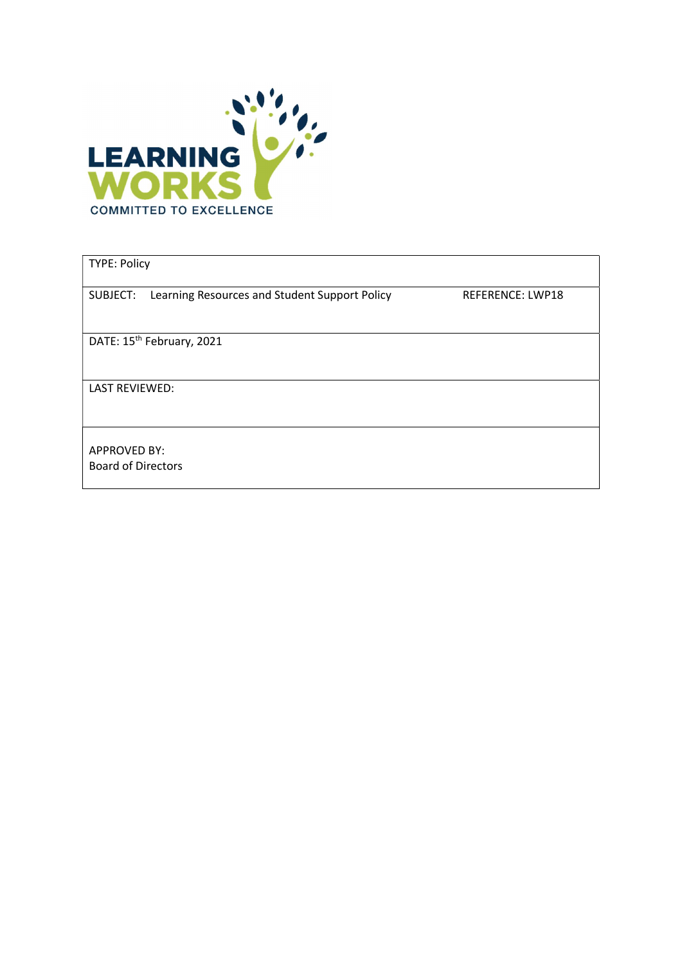

| <b>TYPE: Policy</b>                                       |                         |
|-----------------------------------------------------------|-------------------------|
| SUBJECT:<br>Learning Resources and Student Support Policy | <b>REFERENCE: LWP18</b> |
| DATE: 15 <sup>th</sup> February, 2021                     |                         |
| <b>LAST REVIEWED:</b>                                     |                         |
| <b>APPROVED BY:</b><br><b>Board of Directors</b>          |                         |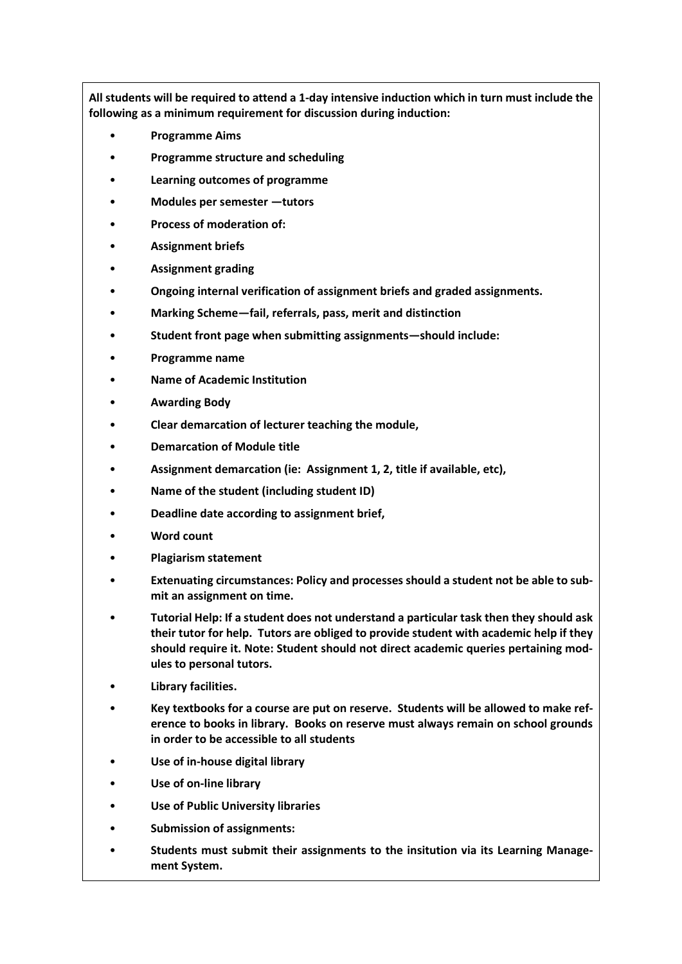All students will be required to attend a 1-day intensive induction which in turn must include the following as a minimum requirement for discussion during induction:

- Programme Aims
- Programme structure and scheduling
- Learning outcomes of programme
- Modules per semester —tutors
- Process of moderation of:
- Assignment briefs
- Assignment grading
- Ongoing internal verification of assignment briefs and graded assignments.
- Marking Scheme—fail, referrals, pass, merit and distinction
- Student front page when submitting assignments—should include:
- Programme name
- Name of Academic Institution
- Awarding Body
- Clear demarcation of lecturer teaching the module,
- Demarcation of Module title
- Assignment demarcation (ie: Assignment 1, 2, title if available, etc),
- Name of the student (including student ID)
- Deadline date according to assignment brief,
- Word count
- Plagiarism statement
- Extenuating circumstances: Policy and processes should a student not be able to submit an assignment on time.
- Tutorial Help: If a student does not understand a particular task then they should ask their tutor for help. Tutors are obliged to provide student with academic help if they should require it. Note: Student should not direct academic queries pertaining modules to personal tutors.
- Library facilities.
- Key textbooks for a course are put on reserve. Students will be allowed to make reference to books in library. Books on reserve must always remain on school grounds in order to be accessible to all students
- Use of in-house digital library
- Use of on-line library
- Use of Public University libraries
- Submission of assignments:
- Students must submit their assignments to the insitution via its Learning Management System.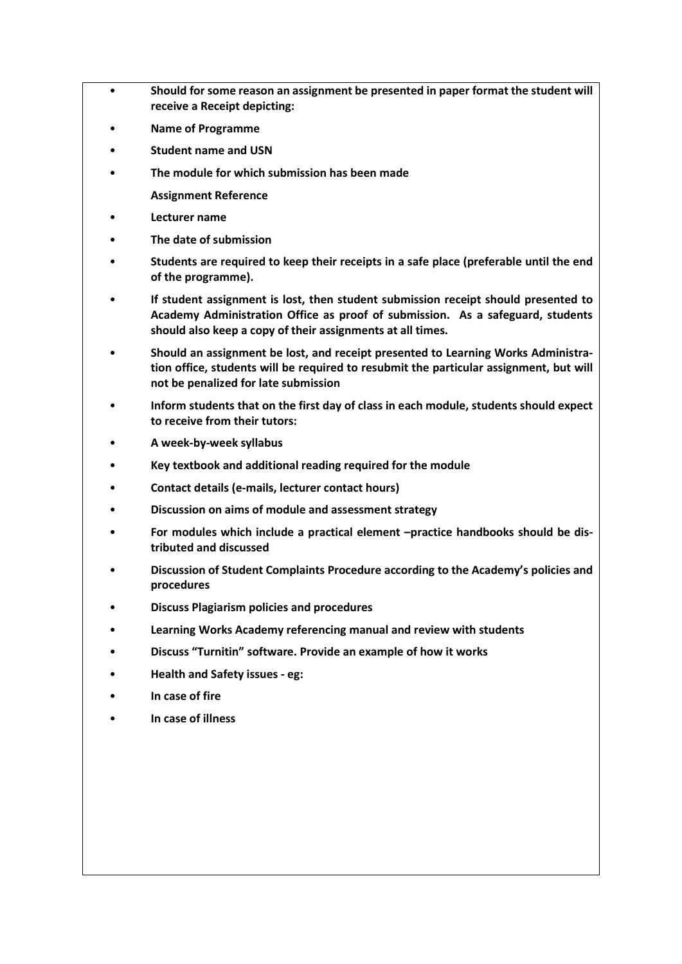- Should for some reason an assignment be presented in paper format the student will receive a Receipt depicting:
- Name of Programme
- Student name and USN
- The module for which submission has been made
	- Assignment Reference
- Lecturer name
- The date of submission
- Students are required to keep their receipts in a safe place (preferable until the end of the programme).
- If student assignment is lost, then student submission receipt should presented to Academy Administration Office as proof of submission. As a safeguard, students should also keep a copy of their assignments at all times.
- Should an assignment be lost, and receipt presented to Learning Works Administration office, students will be required to resubmit the particular assignment, but will not be penalized for late submission
- Inform students that on the first day of class in each module, students should expect to receive from their tutors:
- A week-by-week syllabus
- Key textbook and additional reading required for the module
- Contact details (e-mails, lecturer contact hours)
- Discussion on aims of module and assessment strategy
- For modules which include a practical element –practice handbooks should be distributed and discussed
- Discussion of Student Complaints Procedure according to the Academy's policies and procedures
- Discuss Plagiarism policies and procedures
- Learning Works Academy referencing manual and review with students
- Discuss "Turnitin" software. Provide an example of how it works
- Health and Safety issues eg:
- In case of fire
- In case of illness